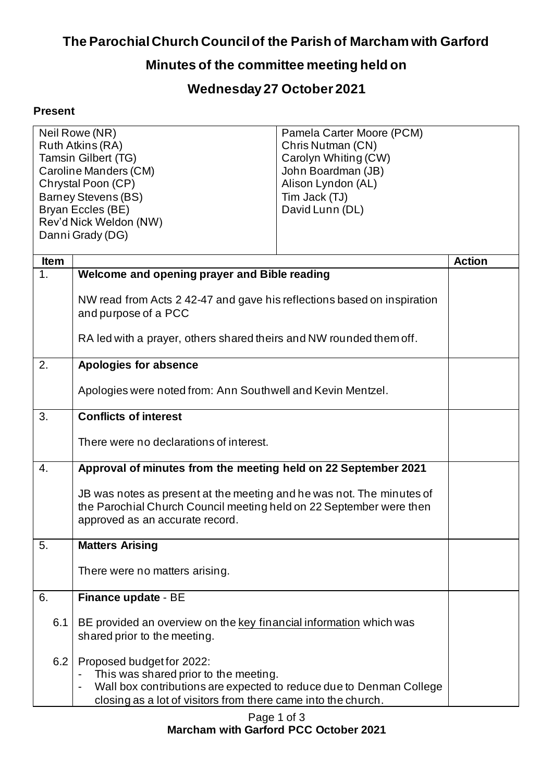## **The Parochial Church Council of the Parish of Marcham with Garford**

## **Minutes of the committee meeting held on**

## **Wednesday 27 October 2021**

## **Present**

| Neil Rowe (NR)<br>Ruth Atkins (RA)<br><b>Tamsin Gilbert (TG)</b><br>Caroline Manders (CM)<br>Chrystal Poon (CP)<br><b>Barney Stevens (BS)</b><br>Bryan Eccles (BE) |                                                                                                                                                                                                            | Pamela Carter Moore (PCM)<br>Chris Nutman (CN)<br>Carolyn Whiting (CW)<br>John Boardman (JB)<br>Alison Lyndon (AL)<br>Tim Jack (TJ)<br>David Lunn (DL) |               |
|--------------------------------------------------------------------------------------------------------------------------------------------------------------------|------------------------------------------------------------------------------------------------------------------------------------------------------------------------------------------------------------|--------------------------------------------------------------------------------------------------------------------------------------------------------|---------------|
| Rev'd Nick Weldon (NW)                                                                                                                                             |                                                                                                                                                                                                            |                                                                                                                                                        |               |
|                                                                                                                                                                    | Danni Grady (DG)                                                                                                                                                                                           |                                                                                                                                                        |               |
| <b>Item</b>                                                                                                                                                        |                                                                                                                                                                                                            |                                                                                                                                                        | <b>Action</b> |
| 1.                                                                                                                                                                 | Welcome and opening prayer and Bible reading                                                                                                                                                               |                                                                                                                                                        |               |
|                                                                                                                                                                    | NW read from Acts 2 42-47 and gave his reflections based on inspiration<br>and purpose of a PCC                                                                                                            |                                                                                                                                                        |               |
|                                                                                                                                                                    | RA led with a prayer, others shared theirs and NW rounded them off.                                                                                                                                        |                                                                                                                                                        |               |
| 2.                                                                                                                                                                 | <b>Apologies for absence</b>                                                                                                                                                                               |                                                                                                                                                        |               |
|                                                                                                                                                                    | Apologies were noted from: Ann Southwell and Kevin Mentzel.                                                                                                                                                |                                                                                                                                                        |               |
| 3.                                                                                                                                                                 | <b>Conflicts of interest</b>                                                                                                                                                                               |                                                                                                                                                        |               |
|                                                                                                                                                                    | There were no declarations of interest.                                                                                                                                                                    |                                                                                                                                                        |               |
| $\overline{4}$ .                                                                                                                                                   | Approval of minutes from the meeting held on 22 September 2021                                                                                                                                             |                                                                                                                                                        |               |
|                                                                                                                                                                    | JB was notes as present at the meeting and he was not. The minutes of<br>the Parochial Church Council meeting held on 22 September were then<br>approved as an accurate record.                            |                                                                                                                                                        |               |
| 5.                                                                                                                                                                 | <b>Matters Arising</b>                                                                                                                                                                                     |                                                                                                                                                        |               |
|                                                                                                                                                                    | There were no matters arising.                                                                                                                                                                             |                                                                                                                                                        |               |
| 6.                                                                                                                                                                 | Finance update - BE                                                                                                                                                                                        |                                                                                                                                                        |               |
| 6.1                                                                                                                                                                | BE provided an overview on the key financial information which was<br>shared prior to the meeting.                                                                                                         |                                                                                                                                                        |               |
| 6.2                                                                                                                                                                | Proposed budget for 2022:<br>This was shared prior to the meeting.<br>Wall box contributions are expected to reduce due to Denman College<br>closing as a lot of visitors from there came into the church. |                                                                                                                                                        |               |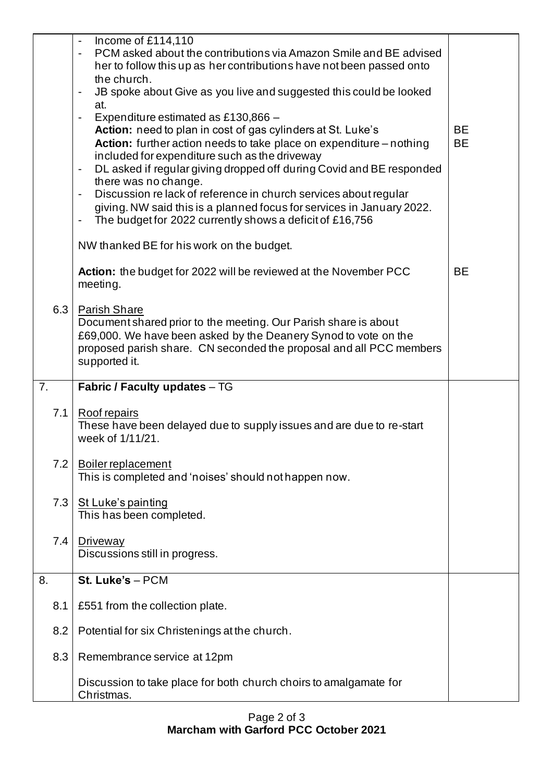|     | Income of £114,110<br>PCM asked about the contributions via Amazon Smile and BE advised<br>her to follow this up as her contributions have not been passed onto<br>the church.<br>JB spoke about Give as you live and suggested this could be looked<br>$\qquad \qquad \blacksquare$<br>at.<br>Expenditure estimated as £130,866 -<br>$\qquad \qquad \blacksquare$<br>Action: need to plan in cost of gas cylinders at St. Luke's<br>Action: further action needs to take place on expenditure - nothing<br>included for expenditure such as the driveway<br>DL asked if regular giving dropped off during Covid and BE responded<br>$\blacksquare$<br>there was no change.<br>Discussion relack of reference in church services about regular<br>$\qquad \qquad \blacksquare$<br>giving. NW said this is a planned focus for services in January 2022.<br>The budget for 2022 currently shows a deficit of £16,756<br>NW thanked BE for his work on the budget. | <b>BE</b><br><b>BE</b> |
|-----|------------------------------------------------------------------------------------------------------------------------------------------------------------------------------------------------------------------------------------------------------------------------------------------------------------------------------------------------------------------------------------------------------------------------------------------------------------------------------------------------------------------------------------------------------------------------------------------------------------------------------------------------------------------------------------------------------------------------------------------------------------------------------------------------------------------------------------------------------------------------------------------------------------------------------------------------------------------|------------------------|
|     | Action: the budget for 2022 will be reviewed at the November PCC<br>meeting.                                                                                                                                                                                                                                                                                                                                                                                                                                                                                                                                                                                                                                                                                                                                                                                                                                                                                     | <b>BE</b>              |
| 6.3 | <b>Parish Share</b><br>Document shared prior to the meeting. Our Parish share is about<br>£69,000. We have been asked by the Deanery Synod to vote on the<br>proposed parish share. CN seconded the proposal and all PCC members<br>supported it.                                                                                                                                                                                                                                                                                                                                                                                                                                                                                                                                                                                                                                                                                                                |                        |
| 7.  | Fabric / Faculty updates - TG                                                                                                                                                                                                                                                                                                                                                                                                                                                                                                                                                                                                                                                                                                                                                                                                                                                                                                                                    |                        |
| 7.1 | Roof repairs<br>These have been delayed due to supply issues and are due to re-start<br>week of 1/11/21.                                                                                                                                                                                                                                                                                                                                                                                                                                                                                                                                                                                                                                                                                                                                                                                                                                                         |                        |
| 7.2 | <b>Boiler replacement</b><br>This is completed and 'noises' should not happen now.                                                                                                                                                                                                                                                                                                                                                                                                                                                                                                                                                                                                                                                                                                                                                                                                                                                                               |                        |
| 7.3 | St Luke's painting<br>This has been completed.                                                                                                                                                                                                                                                                                                                                                                                                                                                                                                                                                                                                                                                                                                                                                                                                                                                                                                                   |                        |
| 7.4 | Driveway<br>Discussions still in progress.                                                                                                                                                                                                                                                                                                                                                                                                                                                                                                                                                                                                                                                                                                                                                                                                                                                                                                                       |                        |
| 8.  | St. Luke's - PCM                                                                                                                                                                                                                                                                                                                                                                                                                                                                                                                                                                                                                                                                                                                                                                                                                                                                                                                                                 |                        |
| 8.1 | £551 from the collection plate.                                                                                                                                                                                                                                                                                                                                                                                                                                                                                                                                                                                                                                                                                                                                                                                                                                                                                                                                  |                        |
| 8.2 | Potential for six Christenings at the church.                                                                                                                                                                                                                                                                                                                                                                                                                                                                                                                                                                                                                                                                                                                                                                                                                                                                                                                    |                        |
| 8.3 | Remembrance service at 12pm                                                                                                                                                                                                                                                                                                                                                                                                                                                                                                                                                                                                                                                                                                                                                                                                                                                                                                                                      |                        |
|     | Discussion to take place for both church choirs to amalgamate for<br>Christmas.                                                                                                                                                                                                                                                                                                                                                                                                                                                                                                                                                                                                                                                                                                                                                                                                                                                                                  |                        |